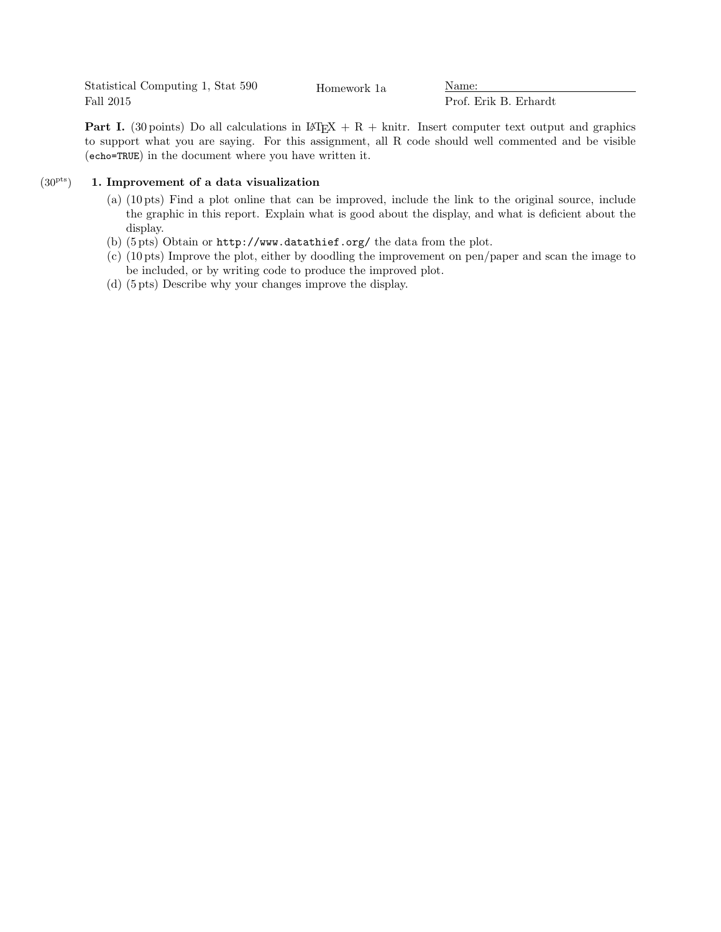Statistical Computing 1, Stat 590 Fall 2015 Homework 1a Name:

Prof. Erik B. Erhardt

**Part I.** (30 points) Do all calculations in LAT<sub>EX</sub> + R + knitr. Insert computer text output and graphics to support what you are saying. For this assignment, all R code should well commented and be visible (echo=TRUE) in the document where you have written it.

## $(30<sup>pts</sup>)$  1. Improvement of a data visualization

- (a) (10 pts) Find a plot online that can be improved, include the link to the original source, include the graphic in this report. Explain what is good about the display, and what is deficient about the display.
- (b) (5 pts) Obtain or http://www.datathief.org/ the data from the plot.
- (c) (10 pts) Improve the plot, either by doodling the improvement on pen/paper and scan the image to be included, or by writing code to produce the improved plot.
- (d) (5 pts) Describe why your changes improve the display.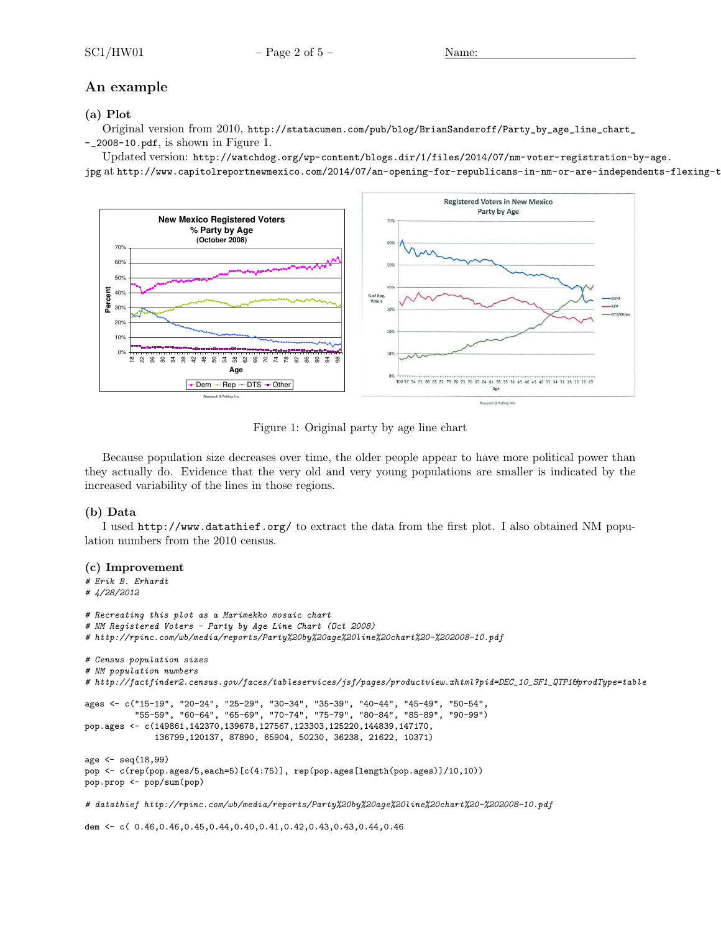# An example

## (a) Plot

Original version from 2010, http://statacumen.com/pub/blog/BrianSanderoff/Party\_by\_age\_line\_chart\_ -\_2008-10.pdf, is shown in Figure 1.

Updated version: http://watchdog.org/wp-content/blogs.dir/1/files/2014/07/nm-voter-registration-by-age.

jpg at http://www.capitolreportnewmexico.com/2014/07/an-opening-for-republicans-in-nm-or-are-independents-flexing-t



Figure 1: Original party by age line chart

Because population size decreases over time, the older people appear to have more political power than they actually do. Evidence that the very old and very young populations are smaller is indicated by the increased variability of the lines in those regions.

### (b) Data

I used http://www.datathief.org/ to extract the data from the first plot. I also obtained NM population numbers from the 2010 census.

#### (c) Improvement

```
# Erik B. Erhardt
# 4/28/2012
# Recreating this plot as a Marimekko mosaic chart
# NM Registered Voters - Party by Age Line Chart (Oct 2008)
# http://rpinc.com/wb/media/reports/Party%20by%20age%20line%20chart%20-%202008-10.pdf
# Census population sizes
# NM population numbers
# http://factfinder2.census.gov/faces/tableservices/jsf/pages/productview.xhtml?pid=DEC_10_SF1_QTP1&prodType=table
ages <- c("15-19", "20-24", "25-29", "30-34", "35-39", "40-44", "45-49", "50-54",
          "55-59", "60-64", "65-69", "70-74", "75-79", "80-84", "85-89", "90-99")
pop.ages <- c(149861,142370,139678,127567,123303,125220,144839,147170,
              136799,120137, 87890, 65904, 50230, 36238, 21622, 10371)
age <- seq(18,99)
pop <- c(rep(pop.ages/5,each=5)[c(4:75)], rep(pop.ages[length(pop.ages)]/10,10))
pop.prop <- pop/sum(pop)
```
# datathief http://rpinc.com/wb/media/reports/Party%20by%20age%20line%20chart%20-%202008-10.pdf

dem <- c( 0.46, 0.46, 0.45, 0.44, 0.40, 0.41, 0.42, 0.43, 0.43, 0.44, 0.46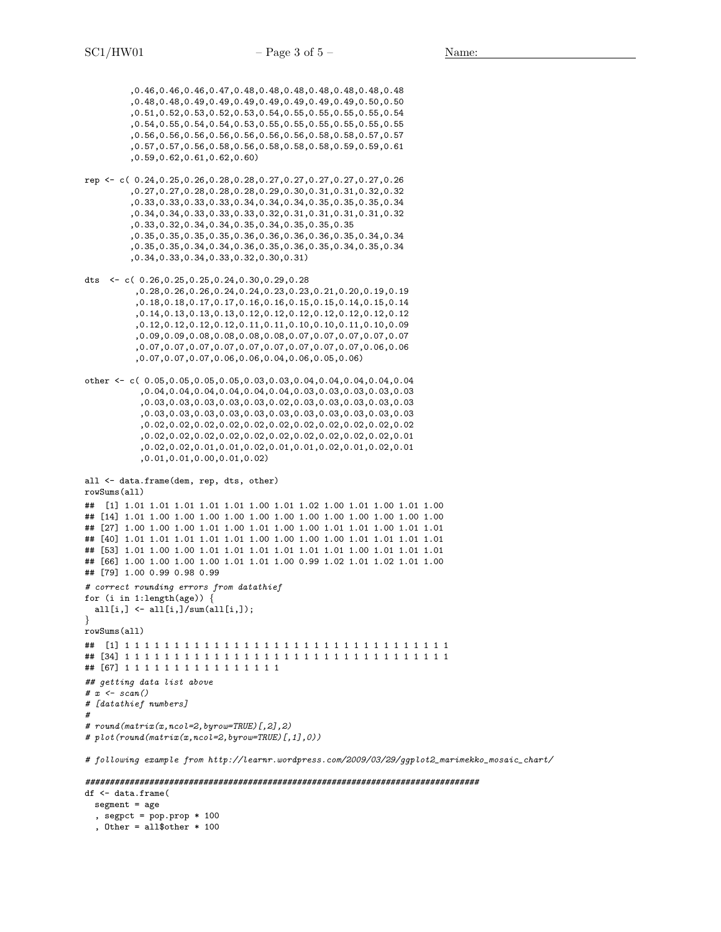,0.46,0.46,0.46,0.47,0.48,0.48,0.48,0.48,0.48,0.48,0.48 ,0.48,0.48,0.49,0.49,0.49,0.49,0.49,0.49,0.49,0.50,0.50 ,0.51,0.52,0.53,0.52,0.53,0.54,0.55,0.55,0.55,0.55,0.54 ,0.54,0.55,0.54,0.54,0.53,0.55,0.55,0.55,0.55,0.55,0.55 ,0.56,0.56,0.56,0.56,0.56,0.56,0.56,0.58,0.58,0.57,0.57 ,0.57,0.57,0.56,0.58,0.56,0.58,0.58,0.58,0.59,0.59,0.61 ,0.59,0.62,0.61,0.62,0.60)

- rep <- c( 0.24,0.25,0.26,0.28,0.28,0.27,0.27,0.27,0.27,0.27,0.26 ,0.27,0.27,0.28,0.28,0.28,0.29,0.30,0.31,0.31,0.32,0.32 ,0.33,0.33,0.33,0.33,0.34,0.34,0.34,0.35,0.35,0.35,0.34 ,0.34,0.34,0.33,0.33,0.33,0.32,0.31,0.31,0.31,0.31,0.32 ,0.33,0.32,0.34,0.34,0.35,0.34,0.35,0.35,0.35 ,0.35,0.35,0.35,0.35,0.36,0.36,0.36,0.36,0.35,0.34,0.34 ,0.35,0.35,0.34,0.34,0.36,0.35,0.36,0.35,0.34,0.35,0.34 ,0.34,0.33,0.34,0.33,0.32,0.30,0.31)
- dts <- c( 0.26,0.25,0.25,0.24,0.30,0.29,0.28 ,0.28,0.26,0.26,0.24,0.24,0.23,0.23,0.21,0.20,0.19,0.19 ,0.18,0.18,0.17,0.17,0.16,0.16,0.15,0.15,0.14,0.15,0.14 ,0.14,0.13,0.13,0.13,0.12,0.12,0.12,0.12,0.12,0.12,0.12 ,0.12,0.12,0.12,0.12,0.11,0.11,0.10,0.10,0.11,0.10,0.09 ,0.09,0.09,0.08,0.08,0.08,0.08,0.07,0.07,0.07,0.07,0.07 ,0.07,0.07,0.07,0.07,0.07,0.07,0.07,0.07,0.07,0.06,0.06 ,0.07,0.07,0.07,0.06,0.06,0.04,0.06,0.05,0.06)
- other <- c( 0.05,0.05,0.05,0.05,0.03,0.03,0.04,0.04,0.04,0.04,0.04 ,0.04,0.04,0.04,0.04,0.04,0.04,0.03,0.03,0.03,0.03,0.03 ,0.03,0.03,0.03,0.03,0.03,0.02,0.03,0.03,0.03,0.03,0.03 ,0.03,0.03,0.03,0.03,0.03,0.03,0.03,0.03,0.03,0.03,0.03 ,0.02,0.02,0.02,0.02,0.02,0.02,0.02,0.02,0.02,0.02,0.02 ,0.02,0.02,0.02,0.02,0.02,0.02,0.02,0.02,0.02,0.02,0.01 ,0.02,0.02,0.01,0.01,0.02,0.01,0.01,0.02,0.01,0.02,0.01 ,0.01,0.01,0.00,0.01,0.02)

```
all <- data.frame(dem, rep, dts, other)
rowSums(all)
## [1] 1.01 1.01 1.01 1.01 1.01 1.00 1.01 1.02 1.00 1.01 1.00 1.01 1.00
## [14] 1.01 1.00 1.00 1.00 1.00 1.00 1.00 1.00 1.00 1.00 1.00 1.00 1.00
## [27] 1.00 1.00 1.00 1.01 1.00 1.01 1.00 1.00 1.01 1.01 1.00 1.01 1.01
## [40] 1.01 1.01 1.01 1.01 1.01 1.00 1.00 1.00 1.00 1.01 1.01 1.01 1.01
## [53] 1.01 1.00 1.00 1.01 1.01 1.01 1.01 1.01 1.01 1.00 1.01 1.01 1.01
## [66] 1.00 1.00 1.00 1.00 1.01 1.01 1.00 0.99 1.02 1.01 1.02 1.01 1.00
## [79] 1.00 0.99 0.98 0.99
# correct rounding errors from datathief
for (i in 1:1ength(age)) {
 all[i,] \leftarrow all[i,]/sum(all[i,]);
}
rowSums(all)
## [1] 1 1 1 1 1 1 1 1 1 1 1 1 1 1 1 1 1 1 1 1 1 1 1 1 1 1 1 1 1 1 1 1 1
## [34] 1 1 1 1 1 1 1 1 1 1 1 1 1 1 1 1 1 1 1 1 1 1 1 1 1 1 1 1 1 1 1 1 1
## [67] 1 1 1 1 1 1 1 1 1 1 1 1 1 1 1 1
## getting data list above
# x \leftarrow scan()# [datathief numbers]
#
# round(matrix(x,ncol=2,byrow=TRUE)[,2],2)
# plot(round(matrix(x,ncol=2,byrow=TRUE)[,1],0))
```
# following example from http://learnr.wordpress.com/2009/03/29/ggplot2\_marimekko\_mosaic\_chart/

#### ################################################################################

df <- data.frame( segment = age , segpct =  $pop.pop * 100$ , Other =  $all$other * 100$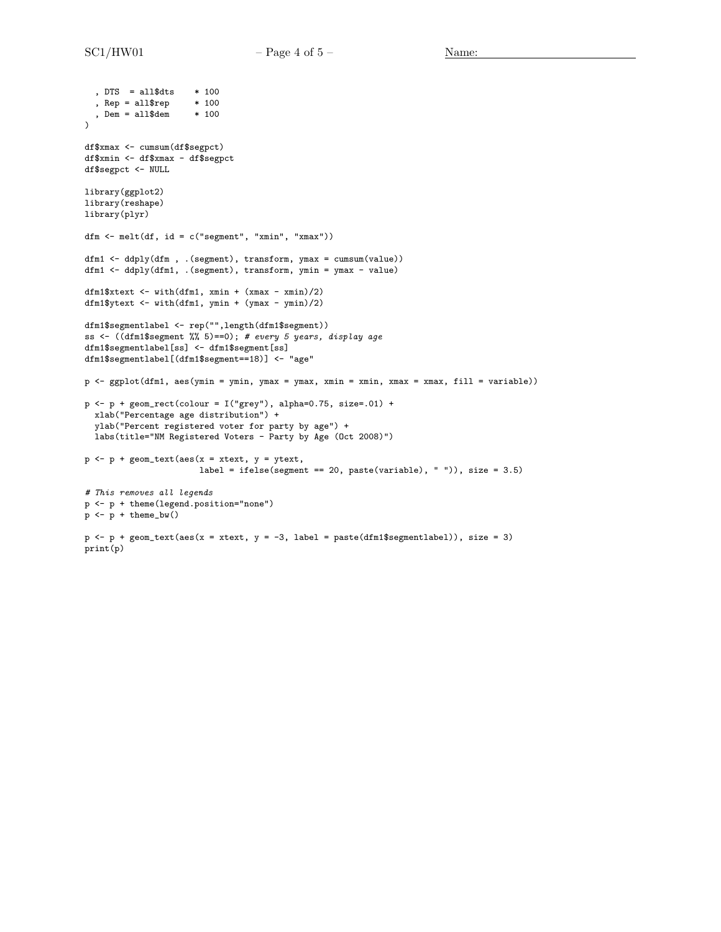```
%, DTS = all$dts * 100<br>
%, Rep = all$rep * 100, Rep = all$rep, Dem = all$dem * 100\lambdadf$xmax <- cumsum(df$segpct)
df$xmin <- df$xmax - df$segpct
df$segpct <- NULL
library(ggplot2)
library(reshape)
library(plyr)
dfm \leftarrow melt(df, id = c("segment", "xmin", "xmax"))
dfm1 <- ddply(dfm , .(segment), transform, ymax = cumsum(value))
dfm1 <- ddply(dfm1, .(segment), transform, ymin = ymax - value)
dfm1$xtext \leftarrow with(dfm1, xmin + (xmax - xmin)/2)
dfm1$ytext <- with(dfm1, ymin + (ymax - ymin)/2)
dfm1$segmentlabel <- rep("",length(dfm1$segment))
ss <- ((dfm1$segment %% 5)==0); # every 5 years, display age
dfm1$segmentlabel[ss] <- dfm1$segment[ss]
dfm1$segmentlabel[(dfm1$segment==18)] <- "age"
p <- ggplot(dfm1, aes(ymin = ymin, ymax = ymax, xmin = xmin, xmax = xmax, fill = variable))
p \leftarrow p + \text{geom\_rect}(\text{colour} = I("grey"), \text{alpha=0.75, size=.01) +}xlab("Percentage age distribution") +
  ylab("Percent registered voter for party by age") +
  labs(title="NM Registered Voters - Party by Age (Oct 2008)")
p \leftarrow p + \text{geom\_text}(\text{aes}(x = xtext, y = ytext,label = ifelse(segment == 20, paste(variable), " ")), size = 3.5)
# This removes all legends
p <- p + theme(legend.position="none")
p \leftarrow p + \text{ theme_bw()}p \leftarrow p + \text{geom\_text}(aes(x = xtext, y = -3, label = paste(dfm1$)segmentlabel))), size = 3)
print(p)
```